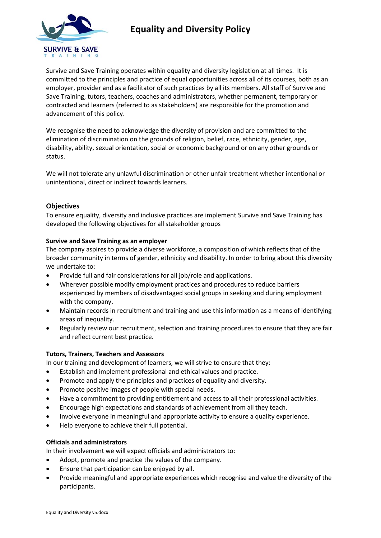

# **Equality and Diversity Policy**

Survive and Save Training operates within equality and diversity legislation at all times. It is committed to the principles and practice of equal opportunities across all of its courses, both as an employer, provider and as a facilitator of such practices by all its members. All staff of Survive and Save Training, tutors, teachers, coaches and administrators, whether permanent, temporary or contracted and learners (referred to as stakeholders) are responsible for the promotion and advancement of this policy.

We recognise the need to acknowledge the diversity of provision and are committed to the elimination of discrimination on the grounds of religion, belief, race, ethnicity, gender, age, disability, ability, sexual orientation, social or economic background or on any other grounds or status.

We will not tolerate any unlawful discrimination or other unfair treatment whether intentional or unintentional, direct or indirect towards learners.

## **Objectives**

To ensure equality, diversity and inclusive practices are implement Survive and Save Training has developed the following objectives for all stakeholder groups

### **Survive and Save Training as an employer**

The company aspires to provide a diverse workforce, a composition of which reflects that of the broader community in terms of gender, ethnicity and disability. In order to bring about this diversity we undertake to:

- Provide full and fair considerations for all job/role and applications.
- Wherever possible modify employment practices and procedures to reduce barriers experienced by members of disadvantaged social groups in seeking and during employment with the company.
- Maintain records in recruitment and training and use this information as a means of identifying areas of inequality.
- Regularly review our recruitment, selection and training procedures to ensure that they are fair and reflect current best practice.

#### **Tutors, Trainers, Teachers and Assessors**

In our training and development of learners, we will strive to ensure that they:

- Establish and implement professional and ethical values and practice.
- Promote and apply the principles and practices of equality and diversity.
- Promote positive images of people with special needs.
- Have a commitment to providing entitlement and access to all their professional activities.
- Encourage high expectations and standards of achievement from all they teach.
- Involve everyone in meaningful and appropriate activity to ensure a quality experience.
- Help everyone to achieve their full potential.

#### **Officials and administrators**

In their involvement we will expect officials and administrators to:

- Adopt, promote and practice the values of the company.
- Ensure that participation can be enjoyed by all.
- Provide meaningful and appropriate experiences which recognise and value the diversity of the participants.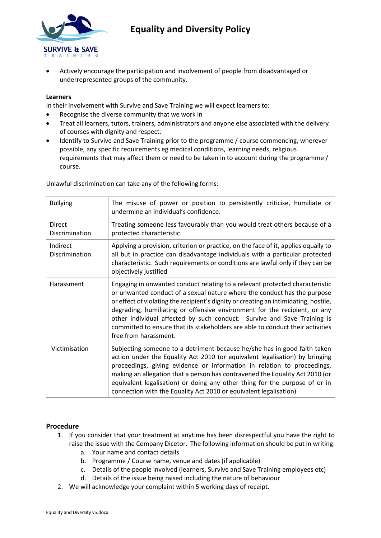

• Actively encourage the participation and involvement of people from disadvantaged or underrepresented groups of the community.

#### **Learners**

In their involvement with Survive and Save Training we will expect learners to:

- Recognise the diverse community that we work in
- Treat all learners, tutors, trainers, administrators and anyone else associated with the delivery of courses with dignity and respect.
- Identify to Survive and Save Training prior to the programme / course commencing, wherever possible, any specific requirements eg medical conditions, learning needs, religious requirements that may affect them or need to be taken in to account during the programme / course.

| <b>Bullying</b>            | The misuse of power or position to persistently criticise, humiliate or<br>undermine an individual's confidence.                                                                                                                                                                                                                                                                                                                                                                                                    |
|----------------------------|---------------------------------------------------------------------------------------------------------------------------------------------------------------------------------------------------------------------------------------------------------------------------------------------------------------------------------------------------------------------------------------------------------------------------------------------------------------------------------------------------------------------|
| Direct<br>Discrimination   | Treating someone less favourably than you would treat others because of a<br>protected characteristic                                                                                                                                                                                                                                                                                                                                                                                                               |
| Indirect<br>Discrimination | Applying a provision, criterion or practice, on the face of it, applies equally to<br>all but in practice can disadvantage individuals with a particular protected<br>characteristic. Such requirements or conditions are lawful only if they can be<br>objectively justified                                                                                                                                                                                                                                       |
| Harassment                 | Engaging in unwanted conduct relating to a relevant protected characteristic<br>or unwanted conduct of a sexual nature where the conduct has the purpose<br>or effect of violating the recipient's dignity or creating an intimidating, hostile,<br>degrading, humiliating or offensive environment for the recipient, or any<br>other individual affected by such conduct. Survive and Save Training is<br>committed to ensure that its stakeholders are able to conduct their activities<br>free from harassment. |
| Victimisation              | Subjecting someone to a detriment because he/she has in good faith taken<br>action under the Equality Act 2010 (or equivalent legalisation) by bringing<br>proceedings, giving evidence or information in relation to proceedings,<br>making an allegation that a person has contravened the Equality Act 2010 (or<br>equivalent legalisation) or doing any other thing for the purpose of or in<br>connection with the Equality Act 2010 or equivalent legalisation)                                               |

Unlawful discrimination can take any of the following forms:

#### **Procedure**

- 1. If you consider that your treatment at anytime has been disrespectful you have the right to raise the issue with the Company Dicetor. The following information should be put in writing:
	- a. Your name and contact details
	- b. Programme / Course name, venue and dates (if applicable)
	- c. Details of the people involved (learners, Survive and Save Training employees etc)
	- d. Details of the issue being raised including the nature of behaviour
- 2. We will acknowledge your complaint within 5 working days of receipt.